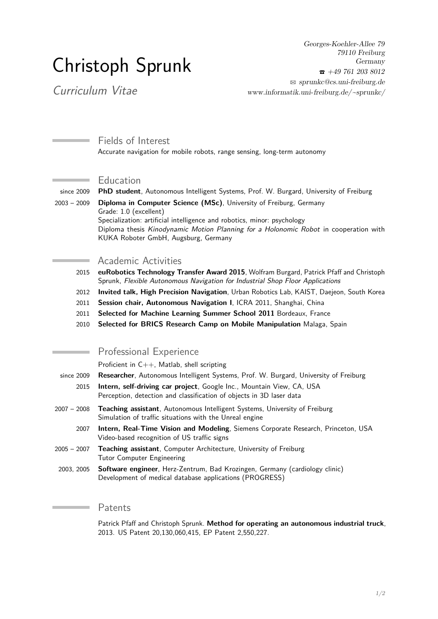# Christoph Sprunk

Georges-Koehler-Allee 79 79110 Freiburg Germany  $\bar{5}$  +49 761 203 8012  $\otimes$  sprunkc $@cs.$ uni-freiburg.de [www.informatik.uni-freiburg.de/~sprunkc/](http://www.informatik.uni-freiburg.de/~sprunkc/)

Curriculum Vitae

**Contract Contract** 

Fields of Interest Accurate navigation for mobile robots, range sensing, long-term autonomy

#### Education

since 2009 **PhD student**, Autonomous Intelligent Systems, Prof. W. Burgard, University of Freiburg

2003 – 2009 **Diploma in Computer Science (MSc)**, University of Freiburg, Germany Grade: 1.0 (excellent)

Specialization: artificial intelligence and robotics, minor: psychology Diploma thesis Kinodynamic Motion Planning for a Holonomic Robot in cooperation with KUKA Roboter GmbH, Augsburg, Germany

### Academic Activities

- 2015 **euRobotics Technology Transfer Award 2015**, Wolfram Burgard, Patrick Pfaff and Christoph Sprunk, Flexible Autonomous Navigation for Industrial Shop Floor Applications
- 2012 **Invited talk, High Precision Navigation**, Urban Robotics Lab, KAIST, Daejeon, South Korea
- 2011 **Session chair, Autonomous Navigation I**, ICRA 2011, Shanghai, China
- 2011 **Selected for Machine Learning Summer School 2011** Bordeaux, France
- 2010 **Selected for BRICS Research Camp on Mobile Manipulation** Malaga, Spain

## Professional Experience

Proficient in C++, Matlab, shell scripting

- since 2009 **Researcher**, Autonomous Intelligent Systems, Prof. W. Burgard, University of Freiburg
	- 2015 **Intern, self-driving car project**, Google Inc., Mountain View, CA, USA Perception, detection and classification of objects in 3D laser data
- 2007 2008 **Teaching assistant**, Autonomous Intelligent Systems, University of Freiburg Simulation of traffic situations with the Unreal engine
	- 2007 **Intern, Real-Time Vision and Modeling**, Siemens Corporate Research, Princeton, USA Video-based recognition of US traffic signs
- 2005 2007 **Teaching assistant**, Computer Architecture, University of Freiburg Tutor Computer Engineering
- 2003, 2005 **Software engineer**, Herz-Zentrum, Bad Krozingen, Germany (cardiology clinic) Development of medical database applications (PROGRESS)

## Patents

Patrick Pfaff and Christoph Sprunk. **Method for operating an autonomous industrial truck**, 2013. US Patent 20,130,060,415, EP Patent 2,550,227.